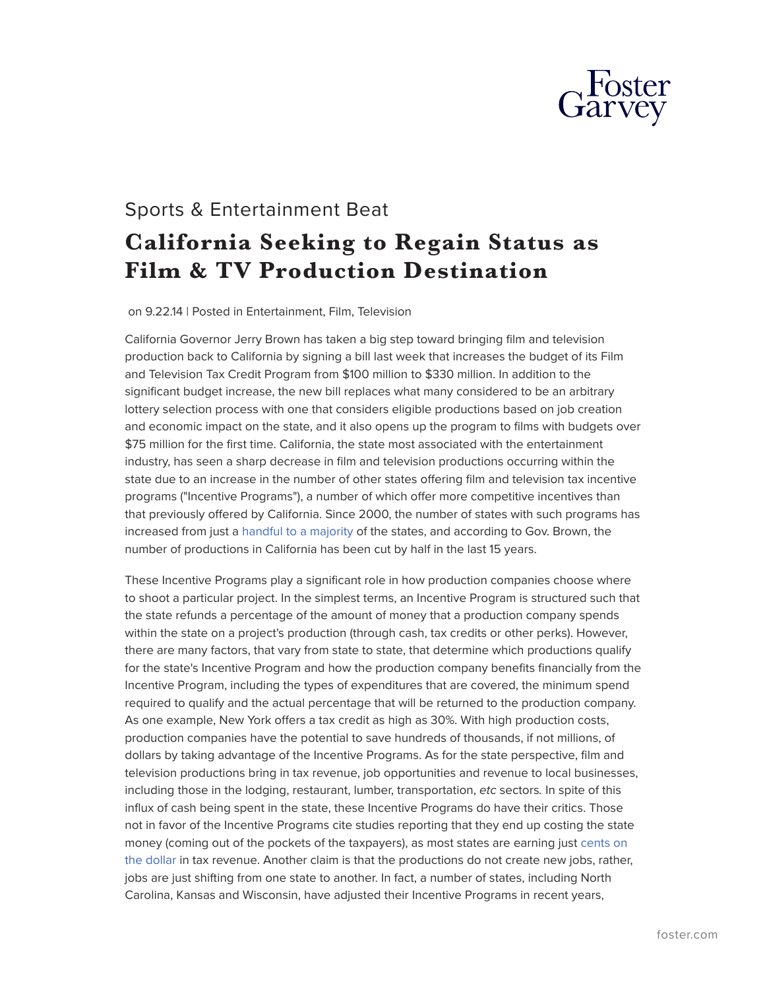

## Sports & Entertainment Beat **California Seeking to Regain Status as Film & TV Production Destination**

on 9.22.14 | Posted in Entertainment, Film, Television

California Governor Jerry Brown has taken a big step toward bringing film and television production back to California by signing a bill last week that increases the budget of its Film and Television Tax Credit Program from \$100 million to \$330 million. In addition to the significant budget increase, the new bill replaces what many considered to be an arbitrary lottery selection process with one that considers eligible productions based on job creation and economic impact on the state, and it also opens up the program to films with budgets over \$75 million for the first time. California, the state most associated with the entertainment industry, has seen a sharp decrease in film and television productions occurring within the state due to an increase in the number of other states offering film and television tax incentive programs ("Incentive Programs"), a number of which offer more competitive incentives than that previously offered by California. Since 2000, the number of states with such programs has increased from just a [handful to a majority](http://www.ncsl.org/documents/fiscal/2014FilmIncentivePrograms.pdf) of the states, and according to Gov. Brown, the number of productions in California has been cut by half in the last 15 years.

These Incentive Programs play a significant role in how production companies choose where to shoot a particular project. In the simplest terms, an Incentive Program is structured such that the state refunds a percentage of the amount of money that a production company spends within the state on a project's production (through cash, tax credits or other perks). However, there are many factors, that vary from state to state, that determine which productions qualify for the state's Incentive Program and how the production company benefits financially from the Incentive Program, including the types of expenditures that are covered, the minimum spend required to qualify and the actual percentage that will be returned to the production company. As one example, New York offers a tax credit as high as 30%. With high production costs, production companies have the potential to save hundreds of thousands, if not millions, of dollars by taking advantage of the Incentive Programs. As for the state perspective, film and television productions bring in tax revenue, job opportunities and revenue to local businesses, including those in the lodging, restaurant, lumber, transportation, *etc* sectors*.* In spite of this influx of cash being spent in the state, these Incentive Programs do have their critics. Those not in favor of the Incentive Programs cite studies reporting that they end up costing the state money (coming out of the pockets of the taxpayers), as most states are earning jus[t cents on](http://taxfoundation.org/article/motion-picture-association-attacks-tax-foundation-critique-film-tax-subsidies) [the dollar](http://taxfoundation.org/article/motion-picture-association-attacks-tax-foundation-critique-film-tax-subsidies) in tax revenue. Another claim is that the productions do not create new jobs, rather, jobs are just shifting from one state to another. In fact, a number of states, including North Carolina, Kansas and Wisconsin, have adjusted their Incentive Programs in recent years,